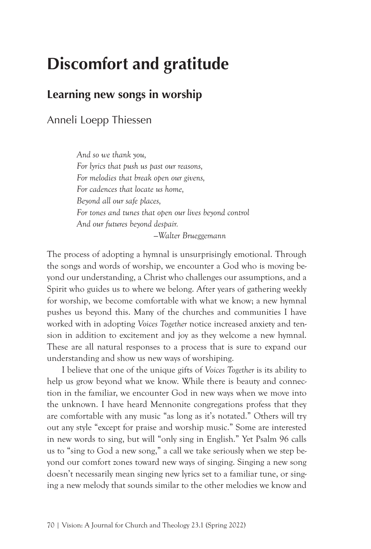# **Discomfort and gratitude**

## **Learning new songs in worship**

Anneli Loepp Thiessen

*And so we thank you, For lyrics that push us past our reasons, For melodies that break open our givens, For cadences that locate us home, Beyond all our safe places, For tones and tunes that open our lives beyond control And our futures beyond despair. —Walter Brueggemann*

The process of adopting a hymnal is unsurprisingly emotional. Through the songs and words of worship, we encounter a God who is moving beyond our understanding, a Christ who challenges our assumptions, and a Spirit who guides us to where we belong. After years of gathering weekly for worship, we become comfortable with what we know; a new hymnal pushes us beyond this. Many of the churches and communities I have worked with in adopting *Voices Together* notice increased anxiety and tension in addition to excitement and joy as they welcome a new hymnal. These are all natural responses to a process that is sure to expand our understanding and show us new ways of worshiping.

I believe that one of the unique gifts of *Voices Together* is its ability to help us grow beyond what we know. While there is beauty and connection in the familiar, we encounter God in new ways when we move into the unknown. I have heard Mennonite congregations profess that they are comfortable with any music "as long as it's notated." Others will try out any style "except for praise and worship music." Some are interested in new words to sing, but will "only sing in English." Yet Psalm 96 calls us to "sing to God a new song," a call we take seriously when we step beyond our comfort zones toward new ways of singing. Singing a new song doesn't necessarily mean singing new lyrics set to a familiar tune, or singing a new melody that sounds similar to the other melodies we know and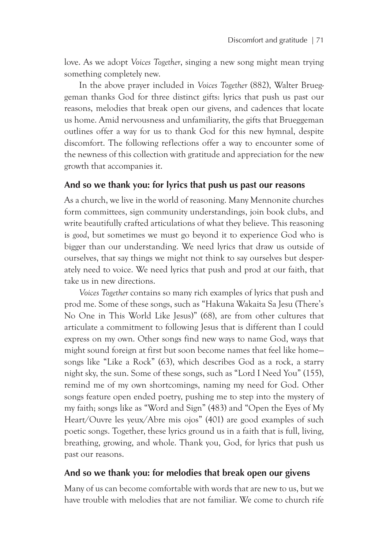love. As we adopt *Voices Together*, singing a new song might mean trying something completely new.

In the above prayer included in *Voices Together* (882), Walter Brueggeman thanks God for three distinct gifts: lyrics that push us past our reasons, melodies that break open our givens, and cadences that locate us home. Amid nervousness and unfamiliarity, the gifts that Brueggeman outlines offer a way for us to thank God for this new hymnal, despite discomfort. The following reflections offer a way to encounter some of the newness of this collection with gratitude and appreciation for the new growth that accompanies it.

#### **And so we thank you: for lyrics that push us past our reasons**

As a church, we live in the world of reasoning. Many Mennonite churches form committees, sign community understandings, join book clubs, and write beautifully crafted articulations of what they believe. This reasoning is *good*, but sometimes we must go beyond it to experience God who is bigger than our understanding. We need lyrics that draw us outside of ourselves, that say things we might not think to say ourselves but desperately need to voice. We need lyrics that push and prod at our faith, that take us in new directions.

*Voices Together* contains so many rich examples of lyrics that push and prod me. Some of these songs, such as "Hakuna Wakaita Sa Jesu (There's No One in This World Like Jesus)" (68), are from other cultures that articulate a commitment to following Jesus that is different than I could express on my own. Other songs find new ways to name God, ways that might sound foreign at first but soon become names that feel like home songs like "Like a Rock" (63), which describes God as a rock, a starry night sky, the sun. Some of these songs, such as "Lord I Need You" (155), remind me of my own shortcomings, naming my need for God. Other songs feature open ended poetry, pushing me to step into the mystery of my faith; songs like as "Word and Sign" (483) and "Open the Eyes of My Heart/Ouvre les yeux/Abre mis ojos" (401) are good examples of such poetic songs. Together, these lyrics ground us in a faith that is full, living, breathing, growing, and whole. Thank you, God, for lyrics that push us past our reasons.

#### **And so we thank you: for melodies that break open our givens**

Many of us can become comfortable with words that are new to us, but we have trouble with melodies that are not familiar. We come to church rife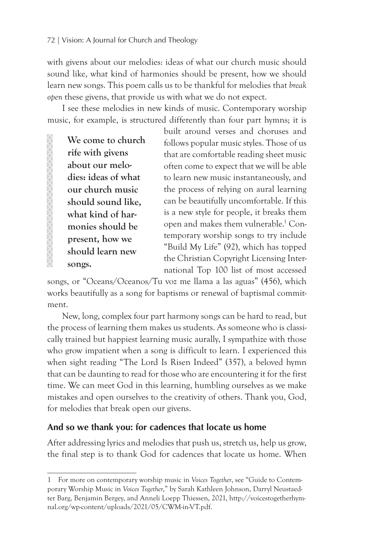#### 72 | Vision: A Journal for Church and Theology

with givens about our melodies: ideas of what our church music should sound like, what kind of harmonies should be present, how we should learn new songs. This poem calls us to be thankful for melodies that *break open* these givens, that provide us with what we do not expect.

I see these melodies in new kinds of music. Contemporary worship music, for example, is structured differently than four part hymns; it is

**We come to church rife with givens about our melodies: ideas of what our church music should sound like, what kind of harmonies should be present, how we should learn new songs.**

built around verses and choruses and follows popular music styles. Those of us that are comfortable reading sheet music often come to expect that we will be able to learn new music instantaneously, and the process of relying on aural learning can be beautifully uncomfortable. If this is a new style for people, it breaks them open and makes them vulnerable.<sup>1</sup> Contemporary worship songs to try include "Build My Life" (92), which has topped the Christian Copyright Licensing International Top 100 list of most accessed

songs, or "Oceans/Oceanos/Tu voz me llama a las aguas" (456), which works beautifully as a song for baptisms or renewal of baptismal commitment.

New, long, complex four part harmony songs can be hard to read, but the process of learning them makes us students. As someone who is classically trained but happiest learning music aurally, I sympathize with those who grow impatient when a song is difficult to learn. I experienced this when sight reading "The Lord Is Risen Indeed" (357), a beloved hymn that can be daunting to read for those who are encountering it for the first time. We can meet God in this learning, humbling ourselves as we make mistakes and open ourselves to the creativity of others. Thank you, God, for melodies that break open our givens.

#### **And so we thank you: for cadences that locate us home**

After addressing lyrics and melodies that push us, stretch us, help us grow, the final step is to thank God for cadences that locate us home. When

<sup>1</sup> For more on contemporary worship music in *Voices Together*, see "Guide to Contemporary Worship Music in *Voices Together*," by Sarah Kathleen Johnson, Darryl Neustaedter Barg, Benjamin Bergey, and Anneli Loepp Thiessen, 2021, http://voicestogetherhymnal.org/wp-content/uploads/2021/05/CWM-in-VT.pdf.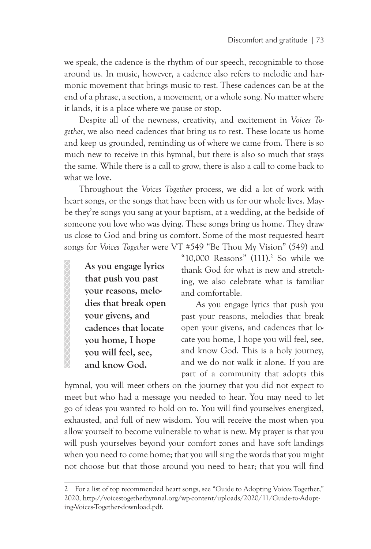we speak, the cadence is the rhythm of our speech, recognizable to those around us. In music, however, a cadence also refers to melodic and harmonic movement that brings music to rest. These cadences can be at the end of a phrase, a section, a movement, or a whole song. No matter where it lands, it is a place where we pause or stop.

Despite all of the newness, creativity, and excitement in *Voices Together*, we also need cadences that bring us to rest. These locate us home and keep us grounded, reminding us of where we came from. There is so much new to receive in this hymnal, but there is also so much that stays the same. While there is a call to grow, there is also a call to come back to what we love.

Throughout the *Voices Together* process, we did a lot of work with heart songs, or the songs that have been with us for our whole lives. Maybe they're songs you sang at your baptism, at a wedding, at the bedside of someone you love who was dying. These songs bring us home. They draw us close to God and bring us comfort. Some of the most requested heart songs for *Voices Together* were VT #549 "Be Thou My Vision" (549) and

**As you engage lyrics that push you past your reasons, melodies that break open your givens, and cadences that locate you home, I hope you will feel, see, and know God.**

XXXXXXXXXXXXXXXXX

"10,000 Reasons" (111).2 So while we thank God for what is new and stretching, we also celebrate what is familiar and comfortable.

As you engage lyrics that push you past your reasons, melodies that break open your givens, and cadences that locate you home, I hope you will feel, see, and know God. This is a holy journey, and we do not walk it alone. If you are part of a community that adopts this

hymnal, you will meet others on the journey that you did not expect to meet but who had a message you needed to hear. You may need to let go of ideas you wanted to hold on to. You will find yourselves energized, exhausted, and full of new wisdom. You will receive the most when you allow yourself to become vulnerable to what is new. My prayer is that you will push yourselves beyond your comfort zones and have soft landings when you need to come home; that you will sing the words that you might not choose but that those around you need to hear; that you will find

<sup>2</sup> For a list of top recommended heart songs, see "Guide to Adopting Voices Together," 2020, http://voicestogetherhymnal.org/wp-content/uploads/2020/11/Guide-to-Adopting-Voices-Together-download.pdf.